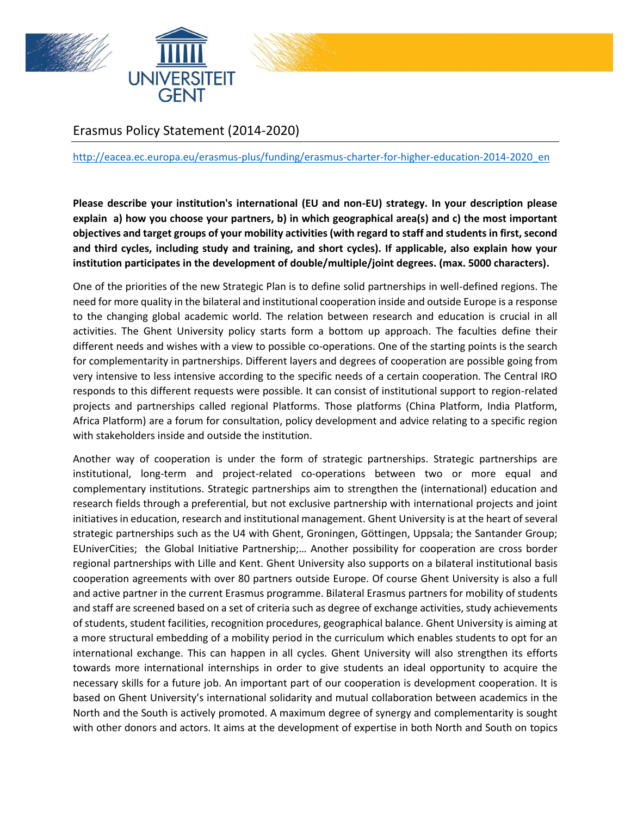





# Erasmus Policy Statement (2014-2020)

## [http://eacea.ec.europa.eu/erasmus-plus/funding/erasmus-charter-for-higher-education-2014-2020\\_en](http://eacea.ec.europa.eu/erasmus-plus/funding/erasmus-charter-for-higher-education-2014-2020_en)

**Please describe your institution's international (EU and non-EU) strategy. In your description please explain a) how you choose your partners, b) in which geographical area(s) and c) the most important objectives and target groups of your mobility activities (with regard to staff and students in first, second and third cycles, including study and training, and short cycles). If applicable, also explain how your institution participates in the development of double/multiple/joint degrees. (max. 5000 characters).**

One of the priorities of the new Strategic Plan is to define solid partnerships in well-defined regions. The need for more quality in the bilateral and institutional cooperation inside and outside Europe is a response to the changing global academic world. The relation between research and education is crucial in all activities. The Ghent University policy starts form a bottom up approach. The faculties define their different needs and wishes with a view to possible co-operations. One of the starting points is the search for complementarity in partnerships. Different layers and degrees of cooperation are possible going from very intensive to less intensive according to the specific needs of a certain cooperation. The Central IRO responds to this different requests were possible. It can consist of institutional support to region-related projects and partnerships called regional Platforms. Those platforms (China Platform, India Platform, Africa Platform) are a forum for consultation, policy development and advice relating to a specific region with stakeholders inside and outside the institution.

Another way of cooperation is under the form of strategic partnerships. Strategic partnerships are institutional, long-term and project-related co-operations between two or more equal and complementary institutions. Strategic partnerships aim to strengthen the (international) education and research fields through a preferential, but not exclusive partnership with international projects and joint initiatives in education, research and institutional management. Ghent University is at the heart of several strategic partnerships such as the U4 with Ghent, Groningen, Göttingen, Uppsala; the Santander Group; EUniverCities; the Global Initiative Partnership;… Another possibility for cooperation are cross border regional partnerships with Lille and Kent. Ghent University also supports on a bilateral institutional basis cooperation agreements with over 80 partners outside Europe. Of course Ghent University is also a full and active partner in the current Erasmus programme. Bilateral Erasmus partners for mobility of students and staff are screened based on a set of criteria such as degree of exchange activities, study achievements of students, student facilities, recognition procedures, geographical balance. Ghent University is aiming at a more structural embedding of a mobility period in the curriculum which enables students to opt for an international exchange. This can happen in all cycles. Ghent University will also strengthen its efforts towards more international internships in order to give students an ideal opportunity to acquire the necessary skills for a future job. An important part of our cooperation is development cooperation. It is based on Ghent University's international solidarity and mutual collaboration between academics in the North and the South is actively promoted. A maximum degree of synergy and complementarity is sought with other donors and actors. It aims at the development of expertise in both North and South on topics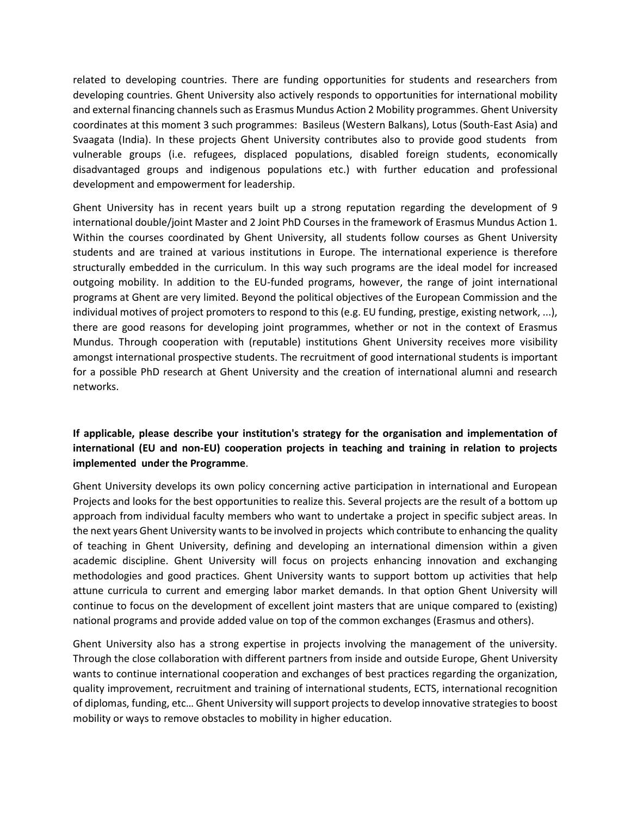related to developing countries. There are funding opportunities for students and researchers from developing countries. Ghent University also actively responds to opportunities for international mobility and external financing channels such as Erasmus Mundus Action 2 Mobility programmes. Ghent University coordinates at this moment 3 such programmes: Basileus (Western Balkans), Lotus (South-East Asia) and Svaagata (India). In these projects Ghent University contributes also to provide good students from vulnerable groups (i.e. refugees, displaced populations, disabled foreign students, economically disadvantaged groups and indigenous populations etc.) with further education and professional development and empowerment for leadership.

Ghent University has in recent years built up a strong reputation regarding the development of 9 international double/joint Master and 2 Joint PhD Courses in the framework of Erasmus Mundus Action 1. Within the courses coordinated by Ghent University, all students follow courses as Ghent University students and are trained at various institutions in Europe. The international experience is therefore structurally embedded in the curriculum. In this way such programs are the ideal model for increased outgoing mobility. In addition to the EU-funded programs, however, the range of joint international programs at Ghent are very limited. Beyond the political objectives of the European Commission and the individual motives of project promoters to respond to this (e.g. EU funding, prestige, existing network, ...), there are good reasons for developing joint programmes, whether or not in the context of Erasmus Mundus. Through cooperation with (reputable) institutions Ghent University receives more visibility amongst international prospective students. The recruitment of good international students is important for a possible PhD research at Ghent University and the creation of international alumni and research networks.

# **If applicable, please describe your institution's strategy for the organisation and implementation of international (EU and non-EU) cooperation projects in teaching and training in relation to projects implemented under the Programme**.

Ghent University develops its own policy concerning active participation in international and European Projects and looks for the best opportunities to realize this. Several projects are the result of a bottom up approach from individual faculty members who want to undertake a project in specific subject areas. In the next years Ghent University wants to be involved in projects which contribute to enhancing the quality of teaching in Ghent University, defining and developing an international dimension within a given academic discipline. Ghent University will focus on projects enhancing innovation and exchanging methodologies and good practices. Ghent University wants to support bottom up activities that help attune curricula to current and emerging labor market demands. In that option Ghent University will continue to focus on the development of excellent joint masters that are unique compared to (existing) national programs and provide added value on top of the common exchanges (Erasmus and others).

Ghent University also has a strong expertise in projects involving the management of the university. Through the close collaboration with different partners from inside and outside Europe, Ghent University wants to continue international cooperation and exchanges of best practices regarding the organization, quality improvement, recruitment and training of international students, ECTS, international recognition of diplomas, funding, etc… Ghent University will support projects to develop innovative strategies to boost mobility or ways to remove obstacles to mobility in higher education.